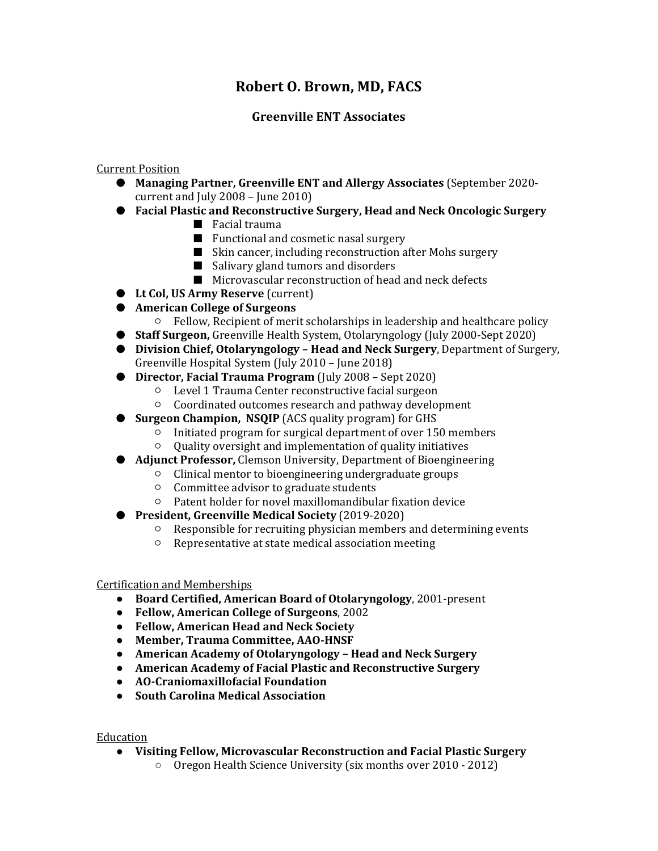# **Robert O. Brown, MD, FACS**

# **Greenville ENT Associates**

## Current Position

- **Managing Partner, Greenville ENT and Allergy Associates** (September 2020 current and July 2008 – June 2010)
- **Facial Plastic and Reconstructive Surgery, Head and Neck Oncologic Surgery**
	- Facial trauma
	- Functional and cosmetic nasal surgery
	- Skin cancer, including reconstruction after Mohs surgery
	- Salivary gland tumors and disorders
	- Microvascular reconstruction of head and neck defects
- **Lt Col, US Army Reserve** (current)
- **American College of Surgeons**
	- Fellow, Recipient of merit scholarships in leadership and healthcare policy
- **Staff Surgeon,** Greenville Health System, Otolaryngology (July 2000-Sept 2020)
- **Division Chief, Otolaryngology Head and Neck Surgery**, Department of Surgery, Greenville Hospital System (July 2010 – June 2018)
- **Director, Facial Trauma Program** (July 2008 Sept 2020)
	- Level 1 Trauma Center reconstructive facial surgeon
	- Coordinated outcomes research and pathway development
- **Surgeon Champion, NSQIP** (ACS quality program) for GHS
	- Initiated program for surgical department of over 150 members
	- Quality oversight and implementation of quality initiatives
- **Adjunct Professor, Clemson University, Department of Bioengineering** 
	- Clinical mentor to bioengineering undergraduate groups
		- Committee advisor to graduate students
		- Patent holder for novel maxillomandibular fixation device
- **President, Greenville Medical Society** (2019-2020)
	- Responsible for recruiting physician members and determining events
	- Representative at state medical association meeting

#### Certification and Memberships

- **Board Certified, American Board of Otolaryngology**, 2001-present
- **Fellow, American College of Surgeons**, 2002
- **Fellow, American Head and Neck Society**
- **Member, Trauma Committee, AAO-HNSF**
- **American Academy of Otolaryngology Head and Neck Surgery**
- **American Academy of Facial Plastic and Reconstructive Surgery**
- **AO-Craniomaxillofacial Foundation**
- **South Carolina Medical Association**

## Education

- **Visiting Fellow, Microvascular Reconstruction and Facial Plastic Surgery**
	- Oregon Health Science University (six months over 2010 2012)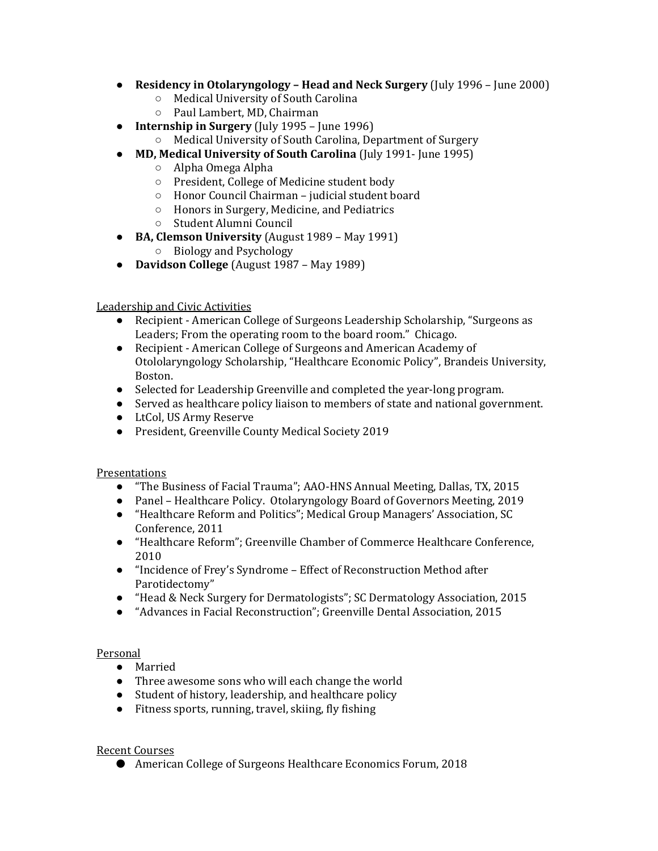- **Residency in Otolaryngology Head and Neck Surgery** (July 1996 June 2000)
	- Medical University of South Carolina
	- Paul Lambert, MD, Chairman
- **Internship in Surgery** (July 1995 June 1996)
	- Medical University of South Carolina, Department of Surgery
- **MD, Medical University of South Carolina** (July 1991- June 1995)
	- Alpha Omega Alpha
	- President, College of Medicine student body
	- Honor Council Chairman judicial student board
	- Honors in Surgery, Medicine, and Pediatrics
	- Student Alumni Council
- **BA, Clemson University** (August 1989 May 1991)
	- Biology and Psychology
- **Davidson College** (August 1987 May 1989)

#### Leadership and Civic Activities

- Recipient American College of Surgeons Leadership Scholarship, "Surgeons as Leaders; From the operating room to the board room." Chicago.
- Recipient American College of Surgeons and American Academy of Otololaryngology Scholarship, "Healthcare Economic Policy", Brandeis University, Boston.
- Selected for Leadership Greenville and completed the year-long program.
- Served as healthcare policy liaison to members of state and national government.
- LtCol, US Army Reserve
- President, Greenville County Medical Society 2019

## **Presentations**

- "The Business of Facial Trauma"; AAO-HNS Annual Meeting, Dallas, TX, 2015
- Panel Healthcare Policy. Otolaryngology Board of Governors Meeting, 2019
- "Healthcare Reform and Politics"; Medical Group Managers' Association, SC Conference, 2011
- "Healthcare Reform"; Greenville Chamber of Commerce Healthcare Conference, 2010
- "Incidence of Frey's Syndrome Effect of Reconstruction Method after Parotidectomy"
- "Head & Neck Surgery for Dermatologists"; SC Dermatology Association, 2015
- "Advances in Facial Reconstruction"; Greenville Dental Association, 2015

## Personal

- Married
- Three awesome sons who will each change the world
- Student of history, leadership, and healthcare policy
- Fitness sports, running, travel, skiing, fly fishing

## Recent Courses

● American College of Surgeons Healthcare Economics Forum, 2018